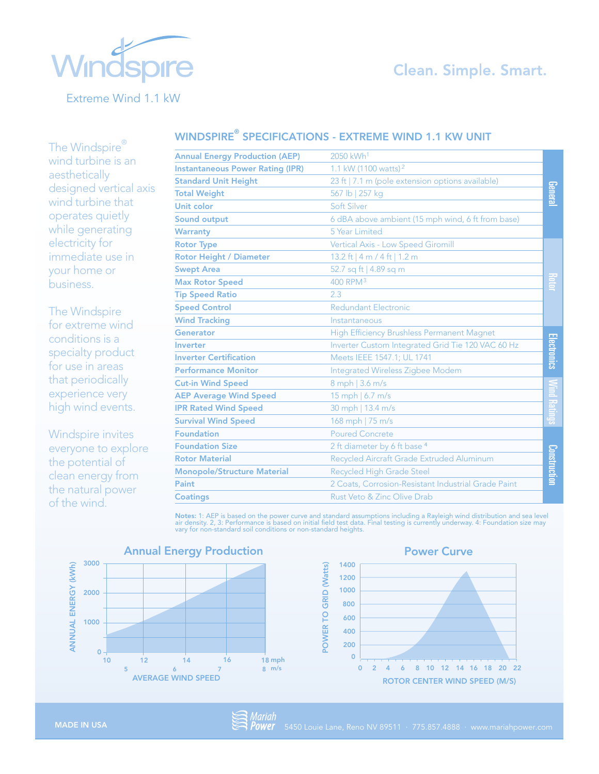# **Clean. Simple. Smart.**



Extreme Wind 1.1 kW

The Windspire® wind turbine is an aesthetically

| The Windspire                                                                                                                                                                     |                                         |                                                     |                    |
|-----------------------------------------------------------------------------------------------------------------------------------------------------------------------------------|-----------------------------------------|-----------------------------------------------------|--------------------|
| wind turbine is an<br>aesthetically<br>designed vertical axis<br>wind turbine that<br>operates quietly<br>while generating<br>electricity for<br>immediate use in<br>your home or | <b>Annual Energy Production (AEP)</b>   | 2050 kWh <sup>1</sup>                               |                    |
|                                                                                                                                                                                   | <b>Instantaneous Power Rating (IPR)</b> | 1.1 kW (1100 watts) <sup>2</sup>                    |                    |
|                                                                                                                                                                                   | <b>Standard Unit Height</b>             | 23 ft   7.1 m (pole extension options available)    |                    |
|                                                                                                                                                                                   | <b>Total Weight</b>                     | 567 lb   257 kg                                     | General            |
|                                                                                                                                                                                   | <b>Unit color</b>                       | Soft Silver                                         |                    |
|                                                                                                                                                                                   | <b>Sound output</b>                     | 6 dBA above ambient (15 mph wind, 6 ft from base)   |                    |
|                                                                                                                                                                                   | <b>Warranty</b>                         | 5 Year Limited                                      |                    |
|                                                                                                                                                                                   | <b>Rotor Type</b>                       | Vertical Axis - Low Speed Giromill                  |                    |
|                                                                                                                                                                                   | <b>Rotor Height / Diameter</b>          | 13.2 ft   4 m / 4 ft   1.2 m                        |                    |
|                                                                                                                                                                                   | <b>Swept Area</b>                       | 52.7 sq ft   4.89 sq m                              |                    |
| business.<br>The Windspire<br>for extreme wind<br>conditions is a<br>specialty product<br>for use in areas<br>that periodically<br>experience very<br>high wind events.           | <b>Max Rotor Speed</b>                  | 400 RPM <sup>3</sup>                                |                    |
|                                                                                                                                                                                   | <b>Tip Speed Ratio</b>                  | 2.3                                                 |                    |
|                                                                                                                                                                                   | <b>Speed Control</b>                    | <b>Redundant Electronic</b>                         |                    |
|                                                                                                                                                                                   | <b>Wind Tracking</b>                    | Instantaneous                                       |                    |
|                                                                                                                                                                                   | Generator                               | High Efficiency Brushless Permanent Magnet          |                    |
|                                                                                                                                                                                   | <b>Inverter</b>                         | Inverter Custom Integrated Grid Tie 120 VAC 60 Hz   |                    |
|                                                                                                                                                                                   | <b>Inverter Certification</b>           | Meets IEEE 1547.1; UL 1741                          | <u>Electronics</u> |
|                                                                                                                                                                                   | <b>Performance Monitor</b>              | <b>Integrated Wireless Zigbee Modem</b>             |                    |
|                                                                                                                                                                                   | <b>Cut-in Wind Speed</b>                | 8 mph   3.6 m/s                                     |                    |
|                                                                                                                                                                                   | <b>AEP Average Wind Speed</b>           | 15 mph   6.7 m/s                                    |                    |
|                                                                                                                                                                                   | <b>IPR Rated Wind Speed</b>             | 30 mph   13.4 m/s                                   |                    |
|                                                                                                                                                                                   | <b>Survival Wind Speed</b>              | 168 mph   75 m/s                                    |                    |
| Windspire invites<br>everyone to explore<br>the potential of<br>clean energy from<br>the natural power<br>$\mathcal{L}$ and $\mathcal{L}$ and $\mathcal{L}$ and $\mathcal{L}$     | <b>Foundation</b>                       | <b>Poured Concrete</b>                              |                    |
|                                                                                                                                                                                   | <b>Foundation Size</b>                  | 2 ft diameter by 6 ft base 4                        |                    |
|                                                                                                                                                                                   | <b>Rotor Material</b>                   | Recycled Aircraft Grade Extruded Aluminum           |                    |
|                                                                                                                                                                                   | <b>Monopole/Structure Material</b>      | <b>Recycled High Grade Steel</b>                    | Construction       |
|                                                                                                                                                                                   | Paint                                   | 2 Coats, Corrosion-Resistant Industrial Grade Paint |                    |
|                                                                                                                                                                                   | <b>Coatings</b>                         | Rust Veto & Zinc Olive Drab                         |                    |

WINDSPIRE® SPECIFICATIONS - EXTREME WIND 1.1 KW UNIT

**Notes:** 1: AEP is based on the power curve and standard assumptions including a Rayleigh wind distribution and sea level<br>air density. 2, 3: Performance is based on initial field test data. Final testing is currently under

POWER TO GRID ( **POWER TO GRID (Watts)** 





Power Curve

Windspire invites everyone to explore the potential of clean energy from the natural power of the wind.